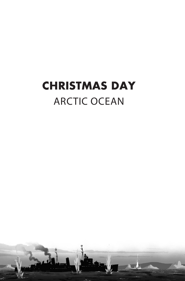## **CHRISTMAS DAY** ARCTIC OCEAN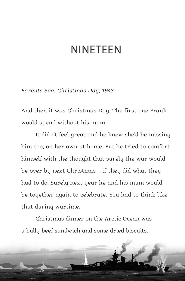## NINETEEN

*Barents Sea, Christmas Day, 1943*

And then it was Christmas Day. The first one Frank would spend without his mum.

It didn't feel great and he knew she'd be missing him too, on her own at home. But he tried to comfort himself with the thought that surely the war would be over by next Christmas – if they did what they had to do. Surely next year he and his mum would be together again to celebrate. You had to think like that during wartime.

Christmas dinner on the Arctic Ocean was a bully‑beef sandwich and some dried biscuits.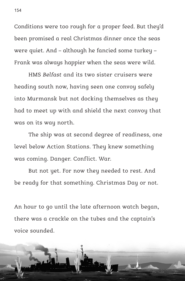Conditions were too rough for a proper feed. But they'd been promised a real Christmas dinner once the seas were quiet. And – although he fancied some turkey – Frank was always happier when the seas were wild.

HMS *Belfast* and its two sister cruisers were heading south now, having seen one convoy safely into Murmansk but not docking themselves as they had to meet up with and shield the next convoy that was on its way north.

The ship was at second degree of readiness, one level below Action Stations. They knew something was coming. Danger. Conflict. War.

But not yet. For now they needed to rest. And be ready for that something. Christmas Day or not.

An hour to go until the late afternoon watch began, there was a crackle on the tubes and the captain's voice sounded.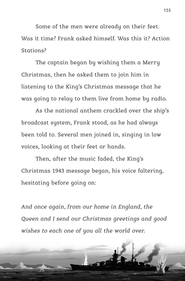Some of the men were already on their feet. Was it time? Frank asked himself. Was this it? Action Stations?

The captain began by wishing them a Merry Christmas, then he asked them to join him in listening to the King's Christmas message that he was going to relay to them live from home by radio.

As the national anthem crackled over the ship's broadcast system, Frank stood, as he had always been told to. Several men joined in, singing in low voices, looking at their feet or hands.

Then, after the music faded, the King's Christmas 1943 message began, his voice faltering, hesitating before going on:

*And once again, from our home in England, the Queen and I send our Christmas greetings and good wishes to each one of you all the world over.*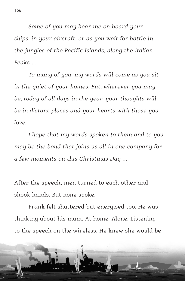*Some of you may hear me on board your ships, in your aircraft, or as you wait for battle in the jungles of the Pacific Islands, along the Italian Peaks …*

*To many of you, my words will come as you sit in the quiet of your homes. But, wherever you may be, today of all days in the year, your thoughts will be in distant places and your hearts with those you love.*

*I hope that my words spoken to them and to you may be the bond that joins us all in one company for a few moments on this Christmas Day …*

After the speech, men turned to each other and shook hands. But none spoke.

Frank felt shattered but energised too. He was thinking about his mum. At home. Alone. Listening to the speech on the wireless. He knew she would be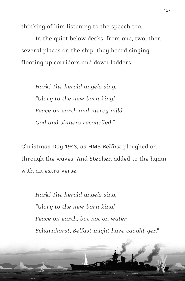thinking of him listening to the speech too.

In the quiet below decks, from one, two, then several places on the ship, they heard singing floating up corridors and down ladders.

*Hark! The herald angels sing, "Glory to the new‑born king! Peace on earth and mercy mild God and sinners reconciled."*

Christmas Day 1943, as HMS *Belfast* ploughed on through the waves. And Stephen added to the hymn with an extra verse.

*Hark! The herald angels sing, "Glory to the new‑born king! Peace on earth, but not on water. Scharnhorst, Belfast might have caught yer."*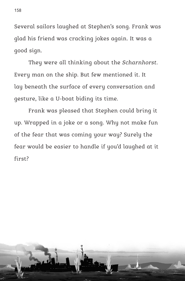Several sailors laughed at Stephen's song. Frank was glad his friend was cracking jokes again. It was a good sign.

They were all thinking about the *Scharnhorst*. Every man on the ship. But few mentioned it. It lay beneath the surface of every conversation and gesture, like a U‑boat biding its time.

Frank was pleased that Stephen could bring it up. Wrapped in a joke or a song. Why not make fun of the fear that was coming your way? Surely the fear would be easier to handle if you'd laughed at it first?